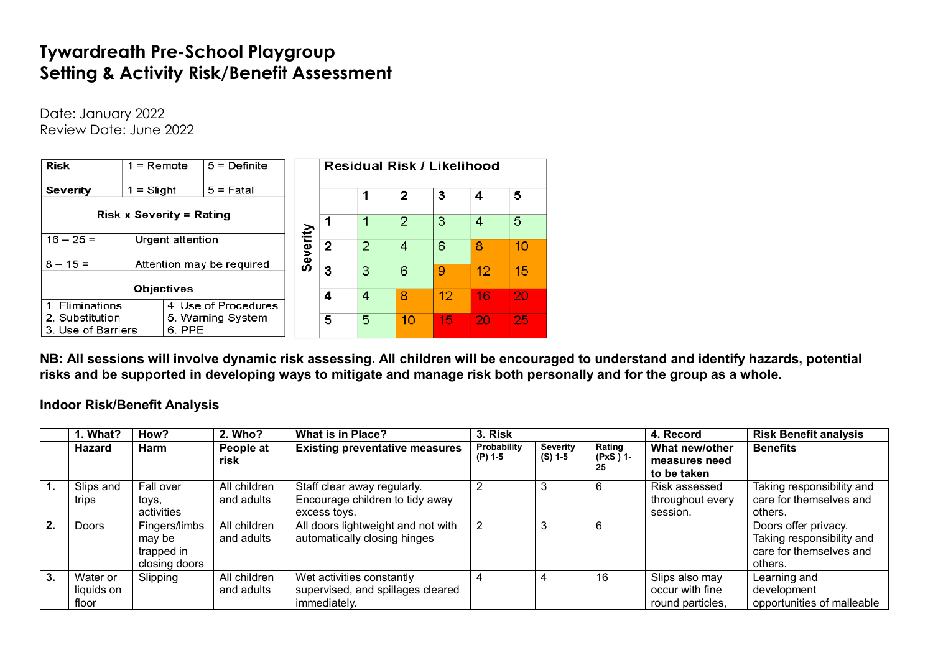# **Tywardreath Pre-School Playgroup Setting & Activity Risk/Benefit Assessment**

Date: January 2022 Review Date: June 2022

| <b>Risk</b>        | $1 =$ Remote                    | $5 =$ Definite            |        |                |                | Residual Risk / Likelihood |    |    |    |
|--------------------|---------------------------------|---------------------------|--------|----------------|----------------|----------------------------|----|----|----|
| Severity           | $1 =$ Slight                    | $5 =$ Fatal               |        |                |                | 2                          | 3  | 4  | 5  |
|                    | <b>Risk x Severity = Rating</b> |                           |        |                |                |                            |    |    |    |
|                    |                                 |                           |        |                |                | $\overline{2}$             | 3  | 4  | 5  |
| $16 - 25 =$        | Urgent attention                |                           | verity |                |                |                            |    |    |    |
|                    |                                 |                           |        | $\overline{2}$ | $\overline{2}$ | 4                          | 6  | 8  | 10 |
| $8 - 15 =$         |                                 | Attention may be required | တိ     | 3              | 3              | 6                          | 9  | 12 | 15 |
|                    |                                 |                           |        |                |                |                            |    |    |    |
|                    | <b>Objectives</b>               |                           |        | 4              | 4              | 8                          | 12 | 16 | 20 |
| 1. Eliminations    |                                 | 4. Use of Procedures      |        |                |                |                            |    |    |    |
| 2. Substitution    |                                 | 5. Warning System         |        | 5              | $\overline{5}$ | 10                         | 15 | 20 | 25 |
| 3. Use of Barriers | 6. PPE                          |                           |        |                |                |                            |    |    |    |

**NB: All sessions will involve dynamic risk assessing. All children will be encouraged to understand and identify hazards, potential risks and be supported in developing ways to mitigate and manage risk both personally and for the group as a whole.**

**Indoor Risk/Benefit Analysis**

|    | 1. What?                        | How?                                                   | 2. Who?                    | <b>What is in Place?</b>                                                       | 3. Risk                |                              |                           | 4. Record                                             | <b>Risk Benefit analysis</b>                                                            |
|----|---------------------------------|--------------------------------------------------------|----------------------------|--------------------------------------------------------------------------------|------------------------|------------------------------|---------------------------|-------------------------------------------------------|-----------------------------------------------------------------------------------------|
|    | Hazard                          | Harm                                                   | People at<br>risk          | <b>Existing preventative measures</b>                                          | Probability<br>(P) 1-5 | <b>Severity</b><br>$(S)$ 1-5 | Rating<br>(PxS ) 1-<br>25 | What new/other<br>measures need<br>to be taken        | <b>Benefits</b>                                                                         |
| 1. | Slips and<br>trips              | Fall over<br>toys,<br>activities                       | All children<br>and adults | Staff clear away regularly.<br>Encourage children to tidy away<br>excess tovs. |                        | 3                            |                           | Risk assessed<br>throughout every<br>session.         | Taking responsibility and<br>care for themselves and<br>others.                         |
| 2. | <b>Doors</b>                    | Fingers/limbs<br>may be<br>trapped in<br>closing doors | All children<br>and adults | All doors lightweight and not with<br>automatically closing hinges             |                        | 3                            |                           |                                                       | Doors offer privacy.<br>Taking responsibility and<br>care for themselves and<br>others. |
| 3. | Water or<br>liquids on<br>floor | Slipping                                               | All children<br>and adults | Wet activities constantly<br>supervised, and spillages cleared<br>immediately. |                        | 4                            | 16                        | Slips also may<br>occur with fine<br>round particles, | Learning and<br>development<br>opportunities of malleable                               |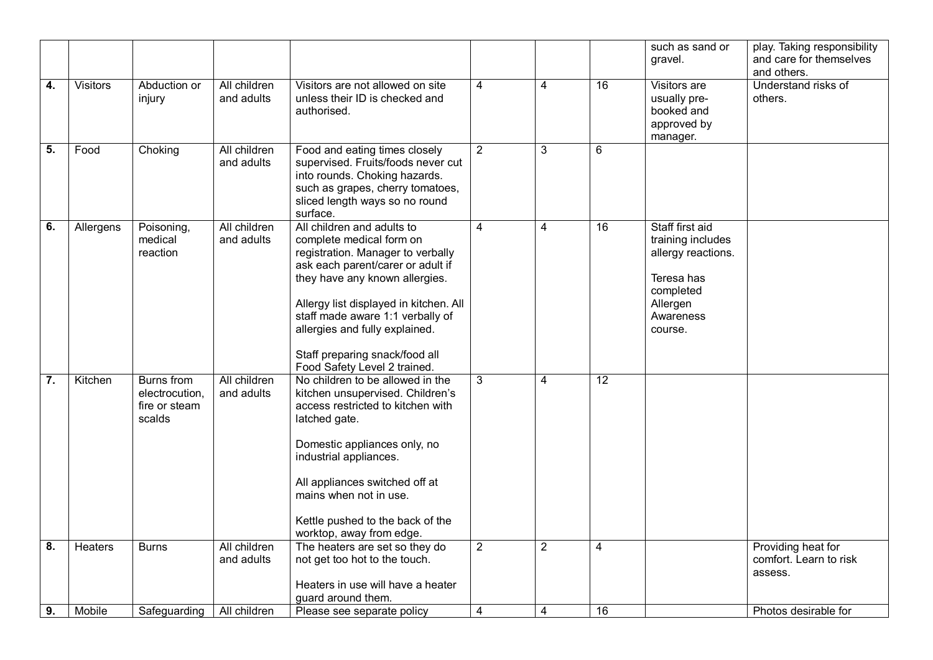|                  |                |                                                                |                            |                                                                                                                                                                                                                                                                                                                                                      |                |                |                 | such as sand or<br>gravel.                                                                                                | play. Taking responsibility<br>and care for themselves<br>and others. |
|------------------|----------------|----------------------------------------------------------------|----------------------------|------------------------------------------------------------------------------------------------------------------------------------------------------------------------------------------------------------------------------------------------------------------------------------------------------------------------------------------------------|----------------|----------------|-----------------|---------------------------------------------------------------------------------------------------------------------------|-----------------------------------------------------------------------|
| $\overline{4}$ . | Visitors       | Abduction or<br>injury                                         | All children<br>and adults | Visitors are not allowed on site<br>unless their ID is checked and<br>authorised.                                                                                                                                                                                                                                                                    | $\overline{4}$ | $\overline{4}$ | $\overline{16}$ | Visitors are<br>usually pre-<br>booked and<br>approved by<br>manager.                                                     | Understand risks of<br>others.                                        |
| 5.               | Food           | Choking                                                        | All children<br>and adults | Food and eating times closely<br>supervised. Fruits/foods never cut<br>into rounds. Choking hazards.<br>such as grapes, cherry tomatoes,<br>sliced length ways so no round<br>surface.                                                                                                                                                               | $\overline{2}$ | 3              | 6               |                                                                                                                           |                                                                       |
| 6.               | Allergens      | Poisoning,<br>medical<br>reaction                              | All children<br>and adults | All children and adults to<br>complete medical form on<br>registration. Manager to verbally<br>ask each parent/carer or adult if<br>they have any known allergies.<br>Allergy list displayed in kitchen. All<br>staff made aware 1:1 verbally of<br>allergies and fully explained.<br>Staff preparing snack/food all<br>Food Safety Level 2 trained. | 4              | 4              | 16              | Staff first aid<br>training includes<br>allergy reactions.<br>Teresa has<br>completed<br>Allergen<br>Awareness<br>course. |                                                                       |
| $\overline{7}$ . | Kitchen        | <b>Burns</b> from<br>electrocution,<br>fire or steam<br>scalds | All children<br>and adults | No children to be allowed in the<br>kitchen unsupervised. Children's<br>access restricted to kitchen with<br>latched gate.<br>Domestic appliances only, no<br>industrial appliances.<br>All appliances switched off at<br>mains when not in use.<br>Kettle pushed to the back of the<br>worktop, away from edge.                                     | 3              | 4              | 12              |                                                                                                                           |                                                                       |
| 8.               | <b>Heaters</b> | <b>Burns</b>                                                   | All children<br>and adults | The heaters are set so they do<br>not get too hot to the touch.<br>Heaters in use will have a heater<br>guard around them.                                                                                                                                                                                                                           | $\overline{2}$ | $\overline{2}$ | 4               |                                                                                                                           | Providing heat for<br>comfort. Learn to risk<br>assess.               |
| 9.               | Mobile         | Safeguarding                                                   | All children               | Please see separate policy                                                                                                                                                                                                                                                                                                                           | $\overline{4}$ | 4              | 16              |                                                                                                                           | Photos desirable for                                                  |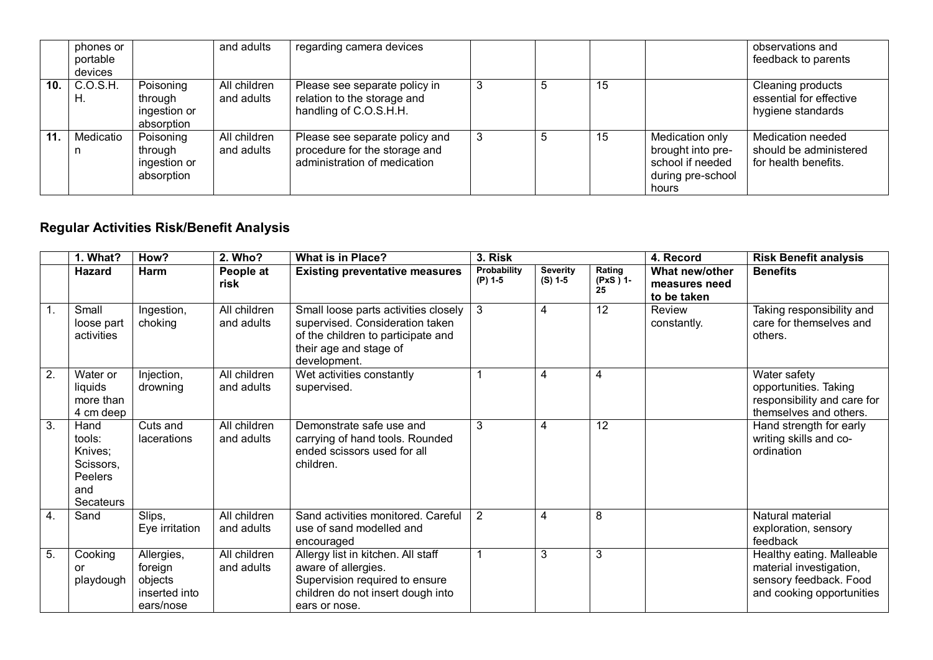|     | phones or<br>portable<br>devices |                                                    | and adults                 | regarding camera devices                                                                        |   |    |    |                                                                                        | observations and<br>feedback to parents                             |
|-----|----------------------------------|----------------------------------------------------|----------------------------|-------------------------------------------------------------------------------------------------|---|----|----|----------------------------------------------------------------------------------------|---------------------------------------------------------------------|
| 10. | C.O.S.H.<br>H.                   | Poisoning<br>through<br>ingestion or<br>absorption | All children<br>and adults | Please see separate policy in<br>relation to the storage and<br>handling of C.O.S.H.H.          | 3 | -5 | 15 |                                                                                        | Cleaning products<br>essential for effective<br>hygiene standards   |
| 11. | Medicatio                        | Poisoning<br>through<br>ingestion or<br>absorption | All children<br>and adults | Please see separate policy and<br>procedure for the storage and<br>administration of medication | 3 | Ð  | 15 | Medication only<br>brought into pre-<br>school if needed<br>during pre-school<br>hours | Medication needed<br>should be administered<br>for health benefits. |

## **Regular Activities Risk/Benefit Analysis**

|                  | 1. What?                                                              | How?                                                           | 2. Who?                    | <b>What is in Place?</b>                                                                                                                                  | 3. Risk                  |                              |                          | 4. Record                                      | <b>Risk Benefit analysis</b>                                                                                |
|------------------|-----------------------------------------------------------------------|----------------------------------------------------------------|----------------------------|-----------------------------------------------------------------------------------------------------------------------------------------------------------|--------------------------|------------------------------|--------------------------|------------------------------------------------|-------------------------------------------------------------------------------------------------------------|
|                  | <b>Hazard</b>                                                         | Harm                                                           | People at<br>risk          | <b>Existing preventative measures</b>                                                                                                                     | Probability<br>$(P)$ 1-5 | <b>Severity</b><br>$(S)$ 1-5 | Rating<br>(PxS) 1-<br>25 | What new/other<br>measures need<br>to be taken | <b>Benefits</b>                                                                                             |
| 1.               | Small<br>loose part<br>activities                                     | Ingestion,<br>choking                                          | All children<br>and adults | Small loose parts activities closely  <br>supervised. Consideration taken<br>of the children to participate and<br>their age and stage of<br>development. | 3                        | 4                            | 12                       | Review<br>constantly.                          | Taking responsibility and<br>care for themselves and<br>others.                                             |
| $\overline{2}$ . | Water or<br>liquids<br>more than<br>4 cm deep                         | Injection,<br>drowning                                         | All children<br>and adults | Wet activities constantly<br>supervised.                                                                                                                  |                          | 4                            | 4                        |                                                | Water safety<br>opportunities. Taking<br>responsibility and care for<br>themselves and others.              |
| 3.               | Hand<br>tools:<br>Knives;<br>Scissors.<br>Peelers<br>and<br>Secateurs | Cuts and<br>lacerations                                        | All children<br>and adults | Demonstrate safe use and<br>carrying of hand tools. Rounded<br>ended scissors used for all<br>children.                                                   | 3                        | 4                            | 12                       |                                                | Hand strength for early<br>writing skills and co-<br>ordination                                             |
| 4.               | Sand                                                                  | Slips,<br>Eye irritation                                       | All children<br>and adults | Sand activities monitored. Careful<br>use of sand modelled and<br>encouraged                                                                              | 2                        | 4                            | 8                        |                                                | Natural material<br>exploration, sensory<br>feedback                                                        |
| 5.               | Cooking<br>or<br>playdough                                            | Allergies,<br>foreign<br>objects<br>inserted into<br>ears/nose | All children<br>and adults | Allergy list in kitchen. All staff<br>aware of allergies.<br>Supervision required to ensure<br>children do not insert dough into<br>ears or nose.         |                          | 3                            | 3                        |                                                | Healthy eating. Malleable<br>material investigation,<br>sensory feedback. Food<br>and cooking opportunities |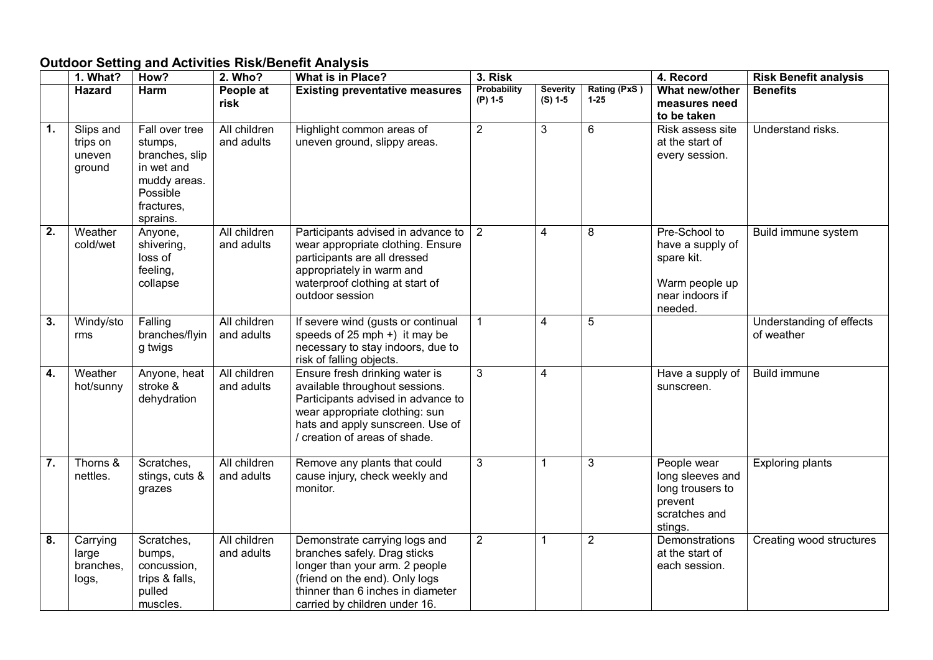## **Outdoor Setting and Activities Risk/Benefit Analysis**

|                  | 1. What?                                  | How?                                                                                                            | 2. Who?                    | <b>What is in Place?</b>                                                                                                                                                                                    | 3. Risk                  |                              |                          | 4. Record                                                                                       | <b>Risk Benefit analysis</b>           |
|------------------|-------------------------------------------|-----------------------------------------------------------------------------------------------------------------|----------------------------|-------------------------------------------------------------------------------------------------------------------------------------------------------------------------------------------------------------|--------------------------|------------------------------|--------------------------|-------------------------------------------------------------------------------------------------|----------------------------------------|
|                  | Hazard                                    | Harm                                                                                                            | People at<br>risk          | <b>Existing preventative measures</b>                                                                                                                                                                       | Probability<br>$(P)$ 1-5 | <b>Severity</b><br>$(S) 1-5$ | Rating (PxS)<br>$1 - 25$ | What new/other<br>measures need<br>to be taken                                                  | <b>Benefits</b>                        |
| $\mathbf{1}$ .   | Slips and<br>trips on<br>uneven<br>ground | Fall over tree<br>stumps,<br>branches, slip<br>in wet and<br>muddy areas.<br>Possible<br>fractures,<br>sprains. | All children<br>and adults | Highlight common areas of<br>uneven ground, slippy areas.                                                                                                                                                   | $\overline{2}$           | 3                            | $6\phantom{a}$           | Risk assess site<br>at the start of<br>every session.                                           | Understand risks.                      |
| $\overline{2}$ . | Weather<br>cold/wet                       | Anyone,<br>shivering,<br>loss of<br>feeling,<br>collapse                                                        | All children<br>and adults | Participants advised in advance to $\vert$ 2<br>wear appropriate clothing. Ensure<br>participants are all dressed<br>appropriately in warm and<br>waterproof clothing at start of<br>outdoor session        |                          | 4                            | 8                        | Pre-School to<br>have a supply of<br>spare kit.<br>Warm people up<br>near indoors if<br>needed. | Build immune system                    |
| $\overline{3}$ . | Windy/sto<br>rms                          | Falling<br>branches/flyin<br>g twigs                                                                            | All children<br>and adults | If severe wind (gusts or continual<br>speeds of $25$ mph +) it may be<br>necessary to stay indoors, due to<br>risk of falling objects.                                                                      | $\mathbf{1}$             | $\overline{4}$               | 5                        |                                                                                                 | Understanding of effects<br>of weather |
| $\overline{4}$ . | Weather<br>hot/sunny                      | Anyone, heat<br>stroke &<br>dehydration                                                                         | All children<br>and adults | Ensure fresh drinking water is<br>available throughout sessions.<br>Participants advised in advance to<br>wear appropriate clothing: sun<br>hats and apply sunscreen. Use of<br>creation of areas of shade. | 3                        | $\overline{\mathbf{4}}$      |                          | Have a supply of<br>sunscreen.                                                                  | <b>Build immune</b>                    |
| $\overline{7}$ . | Thorns &<br>nettles.                      | Scratches,<br>stings, cuts &<br>grazes                                                                          | All children<br>and adults | Remove any plants that could<br>cause injury, check weekly and<br>monitor.                                                                                                                                  | 3                        | 1                            | 3                        | People wear<br>long sleeves and<br>long trousers to<br>prevent<br>scratches and<br>stings.      | <b>Exploring plants</b>                |
| 8.               | Carrying<br>large<br>branches,<br>logs,   | Scratches,<br>bumps,<br>concussion,<br>trips & falls,<br>pulled<br>muscles.                                     | All children<br>and adults | Demonstrate carrying logs and<br>branches safely. Drag sticks<br>longer than your arm. 2 people<br>(friend on the end). Only logs<br>thinner than 6 inches in diameter<br>carried by children under 16.     | $\overline{2}$           | 1                            | $\overline{2}$           | Demonstrations<br>at the start of<br>each session.                                              | Creating wood structures               |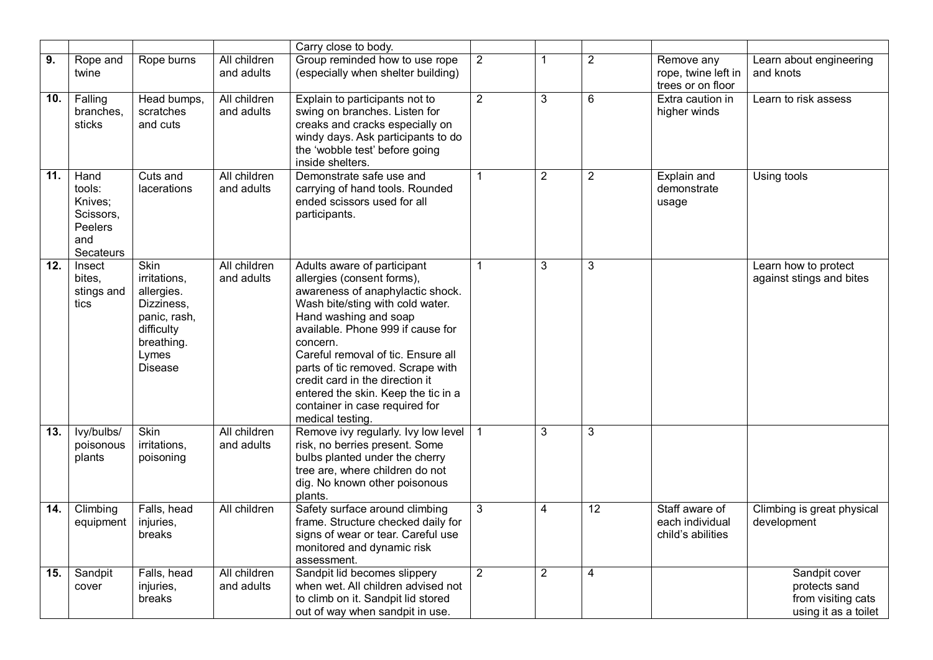|     |                                                                       |                                                                                                                         |                            | Carry close to body.                                                                                                                                                                                                                                                                                                                                                                                                   |                |                |                 |                                                        |                                                                              |
|-----|-----------------------------------------------------------------------|-------------------------------------------------------------------------------------------------------------------------|----------------------------|------------------------------------------------------------------------------------------------------------------------------------------------------------------------------------------------------------------------------------------------------------------------------------------------------------------------------------------------------------------------------------------------------------------------|----------------|----------------|-----------------|--------------------------------------------------------|------------------------------------------------------------------------------|
| 9.  | Rope and                                                              | Rope burns                                                                                                              | All children               | Group reminded how to use rope                                                                                                                                                                                                                                                                                                                                                                                         | $\overline{2}$ | 1              | $\overline{2}$  | Remove any                                             | Learn about engineering                                                      |
|     | twine                                                                 |                                                                                                                         | and adults                 | (especially when shelter building)                                                                                                                                                                                                                                                                                                                                                                                     |                |                |                 | rope, twine left in<br>trees or on floor               | and knots                                                                    |
| 10. | $\overline{F}$ alling<br>branches,<br>sticks                          | Head bumps,<br>scratches<br>and cuts                                                                                    | All children<br>and adults | Explain to participants not to<br>swing on branches. Listen for<br>creaks and cracks especially on<br>windy days. Ask participants to do<br>the 'wobble test' before going<br>inside shelters.                                                                                                                                                                                                                         | $\overline{2}$ | $\overline{3}$ | 6               | Extra caution in<br>higher winds                       | Learn to risk assess                                                         |
| 11. | Hand<br>tools:<br>Knives:<br>Scissors,<br>Peelers<br>and<br>Secateurs | Cuts and<br>lacerations                                                                                                 | All children<br>and adults | Demonstrate safe use and<br>carrying of hand tools. Rounded<br>ended scissors used for all<br>participants.                                                                                                                                                                                                                                                                                                            | 1              | $\overline{2}$ | $\overline{2}$  | Explain and<br>demonstrate<br>usage                    | Using tools                                                                  |
| 12. | Insect<br>bites,<br>stings and<br>tics                                | Skin<br>irritations,<br>allergies.<br>Dizziness,<br>panic, rash,<br>difficulty<br>breathing.<br>Lymes<br><b>Disease</b> | All children<br>and adults | Adults aware of participant<br>allergies (consent forms),<br>awareness of anaphylactic shock.<br>Wash bite/sting with cold water.<br>Hand washing and soap<br>available. Phone 999 if cause for<br>concern.<br>Careful removal of tic. Ensure all<br>parts of tic removed. Scrape with<br>credit card in the direction it<br>entered the skin. Keep the tic in a<br>container in case required for<br>medical testing. | $\mathbf 1$    | 3              | $\mathbf{3}$    |                                                        | Learn how to protect<br>against stings and bites                             |
| 13. | lvy/bulbs/<br>poisonous<br>plants                                     | <b>Skin</b><br>irritations,<br>poisoning                                                                                | All children<br>and adults | Remove ivy regularly. Ivy low level<br>risk, no berries present. Some<br>bulbs planted under the cherry<br>tree are, where children do not<br>dig. No known other poisonous<br>plants.                                                                                                                                                                                                                                 | $\mathbf{1}$   | 3              | 3               |                                                        |                                                                              |
| 14. | Climbing<br>equipment                                                 | Falls, head<br>injuries,<br>breaks                                                                                      | All children               | Safety surface around climbing<br>frame. Structure checked daily for<br>signs of wear or tear. Careful use<br>monitored and dynamic risk<br>assessment.                                                                                                                                                                                                                                                                | $\overline{3}$ | $\overline{4}$ | $\overline{12}$ | Staff aware of<br>each individual<br>child's abilities | Climbing is great physical<br>development                                    |
| 15. | Sandpit<br>cover                                                      | Falls, head<br>injuries,<br>breaks                                                                                      | All children<br>and adults | Sandpit lid becomes slippery<br>when wet. All children advised not<br>to climb on it. Sandpit lid stored<br>out of way when sandpit in use.                                                                                                                                                                                                                                                                            | $\overline{2}$ | $\overline{2}$ | $\overline{4}$  |                                                        | Sandpit cover<br>protects sand<br>from visiting cats<br>using it as a toilet |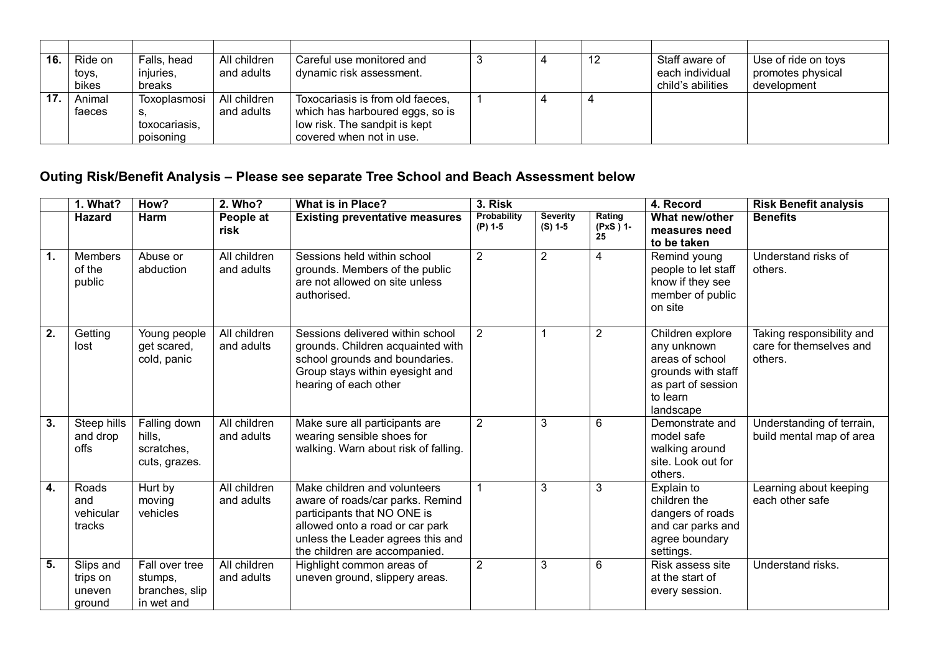| 16. | Ride on | Falls, head   | All children | Careful use monitored and        |  | -12 | Staff aware of    | Use of ride on toys |
|-----|---------|---------------|--------------|----------------------------------|--|-----|-------------------|---------------------|
|     | toys,   | injuries,     | and adults   | dynamic risk assessment.         |  |     | each individual   | promotes physical   |
|     | bikes   | breaks        |              |                                  |  |     | child's abilities | development         |
| 17. | Animal  | Toxoplasmosi  | All children | Toxocariasis is from old faeces, |  |     |                   |                     |
|     | faeces  | S.            | and adults   | which has harboured eggs, so is  |  |     |                   |                     |
|     |         | toxocariasis, |              | low risk. The sandpit is kept    |  |     |                   |                     |
|     |         | poisoning     |              | covered when not in use.         |  |     |                   |                     |

## **Outing Risk/Benefit Analysis – Please see separate Tree School and Beach Assessment below**

|                  | 1. What?                                  | How?                                                      | 2. Who?                    | <b>What is in Place?</b>                                                                                                                                                                                 | 3. Risk                  |                              |                          | 4. Record                                                                                                               | <b>Risk Benefit analysis</b>                                    |
|------------------|-------------------------------------------|-----------------------------------------------------------|----------------------------|----------------------------------------------------------------------------------------------------------------------------------------------------------------------------------------------------------|--------------------------|------------------------------|--------------------------|-------------------------------------------------------------------------------------------------------------------------|-----------------------------------------------------------------|
|                  | Hazard                                    | Harm                                                      | People at<br>risk          | <b>Existing preventative measures</b>                                                                                                                                                                    | Probability<br>$(P)$ 1-5 | <b>Severity</b><br>$(S)$ 1-5 | Rating<br>(PxS) 1-<br>25 | What new/other<br>measures need<br>to be taken                                                                          | <b>Benefits</b>                                                 |
| $\overline{1}$ . | Members<br>of the<br>public               | Abuse or<br>abduction                                     | All children<br>and adults | Sessions held within school<br>grounds. Members of the public<br>are not allowed on site unless<br>authorised.                                                                                           | $\overline{2}$           | $\overline{2}$               | 4                        | Remind young<br>people to let staff<br>know if they see<br>member of public<br>on site                                  | Understand risks of<br>others.                                  |
| $\overline{2}$ . | Getting<br>lost                           | Young people<br>get scared,<br>cold, panic                | All children<br>and adults | Sessions delivered within school<br>grounds. Children acquainted with<br>school grounds and boundaries.<br>Group stays within eyesight and<br>hearing of each other                                      | 2                        | 1                            | $\overline{2}$           | Children explore<br>any unknown<br>areas of school<br>grounds with staff<br>as part of session<br>to learn<br>landscape | Taking responsibility and<br>care for themselves and<br>others. |
| $\overline{3}$ . | Steep hills<br>and drop<br>offs           | Falling down<br>hills,<br>scratches,<br>cuts, grazes.     | All children<br>and adults | Make sure all participants are<br>wearing sensible shoes for<br>walking. Warn about risk of falling.                                                                                                     | 2                        | 3                            | 6                        | Demonstrate and<br>model safe<br>walking around<br>site. Look out for<br>others.                                        | Understanding of terrain,<br>build mental map of area           |
| $\overline{4}$ . | Roads<br>and<br>vehicular<br>tracks       | Hurt by<br>moving<br>vehicles                             | All children<br>and adults | Make children and volunteers<br>aware of roads/car parks. Remind<br>participants that NO ONE is<br>allowed onto a road or car park<br>unless the Leader agrees this and<br>the children are accompanied. |                          | 3                            | 3                        | Explain to<br>children the<br>dangers of roads<br>and car parks and<br>agree boundary<br>settings.                      | Learning about keeping<br>each other safe                       |
| $\overline{5}$ . | Slips and<br>trips on<br>uneven<br>ground | Fall over tree<br>stumps,<br>branches, slip<br>in wet and | All children<br>and adults | Highlight common areas of<br>uneven ground, slippery areas.                                                                                                                                              | $\overline{2}$           | 3                            | $6\phantom{1}$           | Risk assess site<br>at the start of<br>every session.                                                                   | Understand risks.                                               |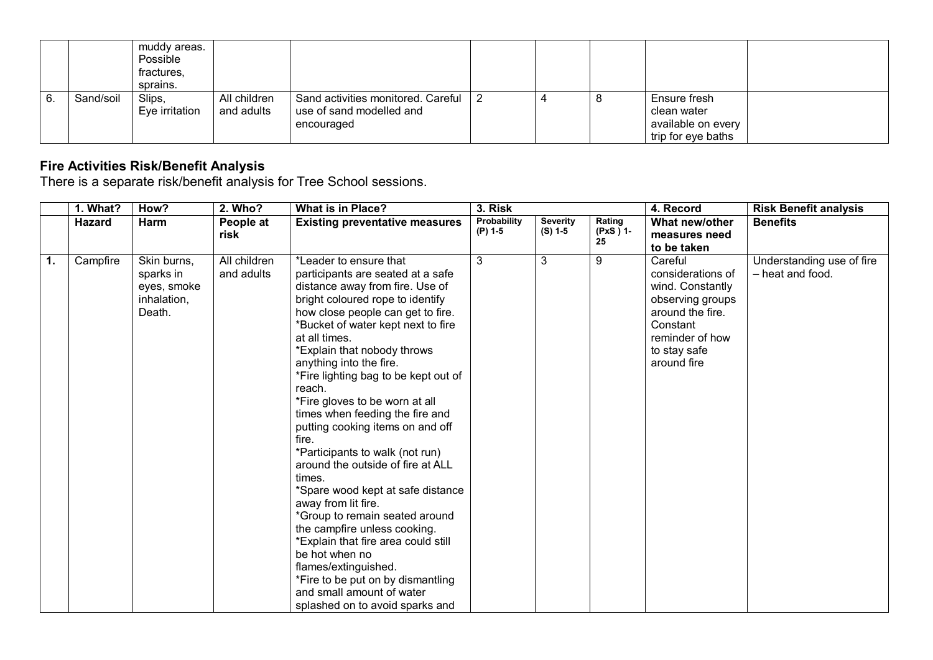|    |           | muddy areas.<br>Possible<br>fractures,<br>sprains. |                            |                                                                                  |  |   |                                                                         |  |
|----|-----------|----------------------------------------------------|----------------------------|----------------------------------------------------------------------------------|--|---|-------------------------------------------------------------------------|--|
| 6. | Sand/soil | Slips,<br>Eye irritation                           | All children<br>and adults | Sand activities monitored. Careful   2<br>use of sand modelled and<br>encouraged |  | C | Ensure fresh<br>clean water<br>available on every<br>trip for eye baths |  |

#### **Fire Activities Risk/Benefit Analysis**

There is a separate risk/benefit analysis for Tree School sessions.

|                  | 1. What? | How?        | 2. Who?      | <b>What is in Place?</b>                       | 3. Risk     |                 |                | 4. Record                   | <b>Risk Benefit analysis</b> |
|------------------|----------|-------------|--------------|------------------------------------------------|-------------|-----------------|----------------|-----------------------------|------------------------------|
|                  | Hazard   | Harm        | People at    | <b>Existing preventative measures</b>          | Probability | <b>Severity</b> | Rating         | What new/other              | <b>Benefits</b>              |
|                  |          |             | risk         |                                                | (P) 1-5     | (S) 1-5         | (PxS) 1-<br>25 | measures need               |                              |
|                  |          |             |              |                                                |             |                 |                | to be taken                 |                              |
| $\overline{1}$ . | Campfire | Skin burns, | All children | *Leader to ensure that                         | 3           | 3               | 9              | Careful                     | Understanding use of fire    |
|                  |          | sparks in   | and adults   | participants are seated at a safe              |             |                 |                | considerations of           | - heat and food.             |
|                  |          | eyes, smoke |              | distance away from fire. Use of                |             |                 |                | wind. Constantly            |                              |
|                  |          | inhalation, |              | bright coloured rope to identify               |             |                 |                | observing groups            |                              |
|                  |          | Death.      |              | how close people can get to fire.              |             |                 |                | around the fire.            |                              |
|                  |          |             |              | *Bucket of water kept next to fire             |             |                 |                | Constant                    |                              |
|                  |          |             |              | at all times.                                  |             |                 |                | reminder of how             |                              |
|                  |          |             |              | *Explain that nobody throws                    |             |                 |                | to stay safe<br>around fire |                              |
|                  |          |             |              | anything into the fire.                        |             |                 |                |                             |                              |
|                  |          |             |              | *Fire lighting bag to be kept out of<br>reach. |             |                 |                |                             |                              |
|                  |          |             |              | *Fire gloves to be worn at all                 |             |                 |                |                             |                              |
|                  |          |             |              | times when feeding the fire and                |             |                 |                |                             |                              |
|                  |          |             |              | putting cooking items on and off               |             |                 |                |                             |                              |
|                  |          |             |              | fire.                                          |             |                 |                |                             |                              |
|                  |          |             |              | *Participants to walk (not run)                |             |                 |                |                             |                              |
|                  |          |             |              | around the outside of fire at ALL              |             |                 |                |                             |                              |
|                  |          |             |              | times.                                         |             |                 |                |                             |                              |
|                  |          |             |              | *Spare wood kept at safe distance              |             |                 |                |                             |                              |
|                  |          |             |              | away from lit fire.                            |             |                 |                |                             |                              |
|                  |          |             |              | *Group to remain seated around                 |             |                 |                |                             |                              |
|                  |          |             |              | the campfire unless cooking.                   |             |                 |                |                             |                              |
|                  |          |             |              | *Explain that fire area could still            |             |                 |                |                             |                              |
|                  |          |             |              | be hot when no                                 |             |                 |                |                             |                              |
|                  |          |             |              | flames/extinguished.                           |             |                 |                |                             |                              |
|                  |          |             |              | *Fire to be put on by dismantling              |             |                 |                |                             |                              |
|                  |          |             |              | and small amount of water                      |             |                 |                |                             |                              |
|                  |          |             |              | splashed on to avoid sparks and                |             |                 |                |                             |                              |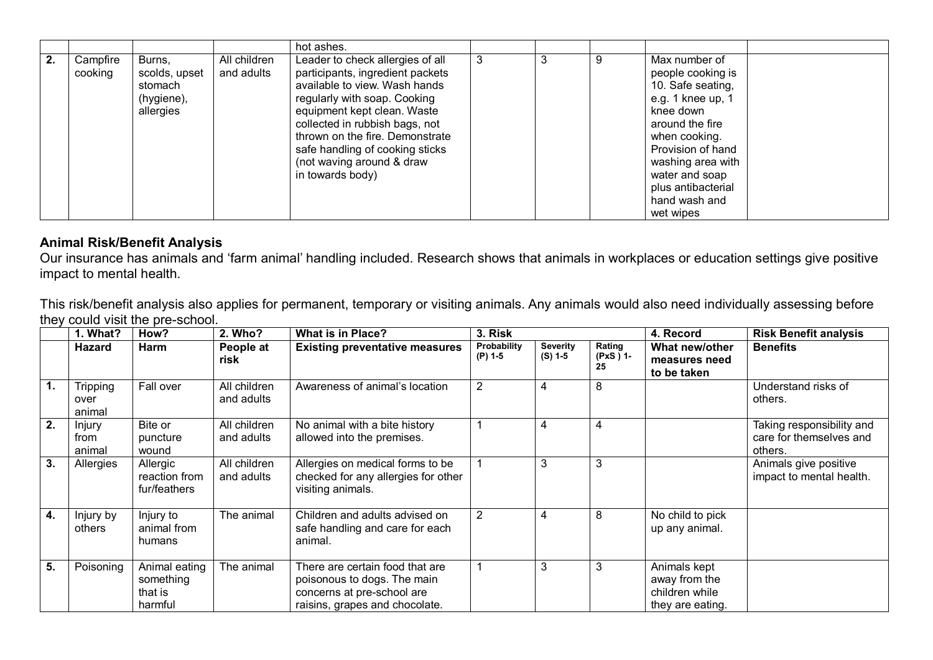|    |                     |                                                               |                            | hot ashes.                                                                                                                                                                                                                                                                                                                    |   |   |   |                                                                                                                                                                                                                                               |
|----|---------------------|---------------------------------------------------------------|----------------------------|-------------------------------------------------------------------------------------------------------------------------------------------------------------------------------------------------------------------------------------------------------------------------------------------------------------------------------|---|---|---|-----------------------------------------------------------------------------------------------------------------------------------------------------------------------------------------------------------------------------------------------|
| 2. | Campfire<br>cooking | Burns,<br>scolds, upset<br>stomach<br>(hygiene),<br>allergies | All children<br>and adults | Leader to check allergies of all<br>participants, ingredient packets<br>available to view. Wash hands<br>regularly with soap. Cooking<br>equipment kept clean. Waste<br>collected in rubbish bags, not<br>thrown on the fire. Demonstrate<br>safe handling of cooking sticks<br>(not waving around & draw<br>in towards body) | 3 | 3 | 9 | Max number of<br>people cooking is<br>10. Safe seating,<br>e.g. 1 knee up, 1<br>knee down<br>around the fire<br>when cooking.<br>Provision of hand<br>washing area with<br>water and soap<br>plus antibacterial<br>hand wash and<br>wet wipes |

#### **Animal Risk/Benefit Analysis**

Our insurance has animals and 'farm animal' handling included. Research shows that animals in workplaces or education settings give positive impact to mental health.

This risk/benefit analysis also applies for permanent, temporary or visiting animals. Any animals would also need individually assessing before they could visit the pre-school.

|                  | 1. What?                          | How?                                             | 2. Who?                    | <b>What is in Place?</b>                                                                                                       | 3. Risk                |                              |                          | 4. Record                                                           | <b>Risk Benefit analysis</b>                                    |
|------------------|-----------------------------------|--------------------------------------------------|----------------------------|--------------------------------------------------------------------------------------------------------------------------------|------------------------|------------------------------|--------------------------|---------------------------------------------------------------------|-----------------------------------------------------------------|
|                  | Hazard                            | Harm                                             | People at<br>risk          | <b>Existing preventative measures</b>                                                                                          | Probability<br>(P) 1-5 | <b>Severity</b><br>$(S)$ 1-5 | Rating<br>(PxS) 1-<br>25 | What new/other<br>measures need<br>to be taken                      | <b>Benefits</b>                                                 |
| $\overline{1}$ . | <b>Tripping</b><br>over<br>animal | Fall over                                        | All children<br>and adults | Awareness of animal's location                                                                                                 | $\overline{2}$         | 4                            | 8                        |                                                                     | Understand risks of<br>others.                                  |
| $\overline{2}$ . | Injury<br>from<br>animal          | Bite or<br>puncture<br>wound                     | All children<br>and adults | No animal with a bite history<br>allowed into the premises.                                                                    |                        | 4                            | 4                        |                                                                     | Taking responsibility and<br>care for themselves and<br>others. |
| 3.               | Allergies                         | Allergic<br>reaction from<br>fur/feathers        | All children<br>and adults | Allergies on medical forms to be<br>checked for any allergies for other<br>visiting animals.                                   |                        | 3                            | 3                        |                                                                     | Animals give positive<br>impact to mental health.               |
| 4.               | Injury by<br>others               | Injury to<br>animal from<br>humans               | The animal                 | Children and adults advised on<br>safe handling and care for each<br>animal.                                                   | 2                      | 4                            | 8                        | No child to pick<br>up any animal.                                  |                                                                 |
| $\overline{5}$ . | Poisoning                         | Animal eating<br>something<br>that is<br>harmful | The animal                 | There are certain food that are<br>poisonous to dogs. The main<br>concerns at pre-school are<br>raisins, grapes and chocolate. |                        | 3                            | 3                        | Animals kept<br>away from the<br>children while<br>they are eating. |                                                                 |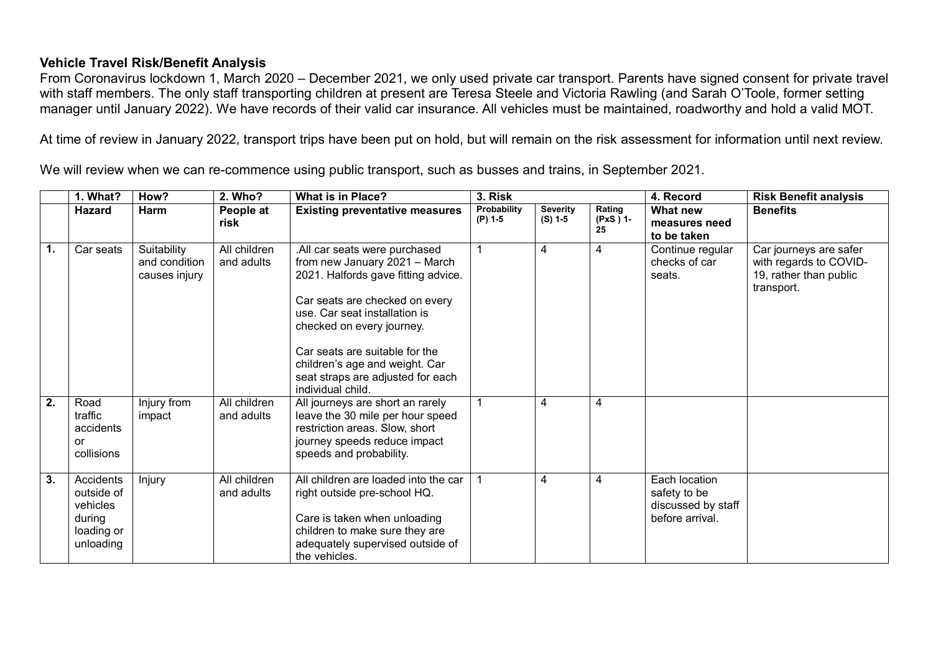#### **Vehicle Travel Risk/Benefit Analysis**

From Coronavirus lockdown 1, March 2020 – December 2021, we only used private car transport. Parents have signed consent for private travel with staff members. The only staff transporting children at present are Teresa Steele and Victoria Rawling (and Sarah O'Toole, former setting manager until January 2022). We have records of their valid car insurance. All vehicles must be maintained, roadworthy and hold a valid MOT.

At time of review in January 2022, transport trips have been put on hold, but will remain on the risk assessment for information until next review.

We will review when we can re-commence using public transport, such as busses and trains, in September 2021.

|                  | 1. What?                                                                 | How?                                          | 2. Who?                    | <b>What is in Place?</b>                                                                                                                                                                                                                                                                                                            | 3. Risk                |                              |                          | 4. Record                                                              | <b>Risk Benefit analysis</b>                                                             |
|------------------|--------------------------------------------------------------------------|-----------------------------------------------|----------------------------|-------------------------------------------------------------------------------------------------------------------------------------------------------------------------------------------------------------------------------------------------------------------------------------------------------------------------------------|------------------------|------------------------------|--------------------------|------------------------------------------------------------------------|------------------------------------------------------------------------------------------|
|                  | <b>Hazard</b>                                                            | Harm                                          | People at<br>risk          | <b>Existing preventative measures</b>                                                                                                                                                                                                                                                                                               | Probability<br>(P) 1-5 | <b>Severity</b><br>$(S)$ 1-5 | Rating<br>(PxS) 1-<br>25 | What new<br>measures need<br>to be taken                               | <b>Benefits</b>                                                                          |
| $\mathbf{1}$ .   | Car seats                                                                | Suitability<br>and condition<br>causes injury | All children<br>and adults | .All car seats were purchased<br>from new January 2021 - March<br>2021. Halfords gave fitting advice.<br>Car seats are checked on every<br>use. Car seat installation is<br>checked on every journey.<br>Car seats are suitable for the<br>children's age and weight. Car<br>seat straps are adjusted for each<br>individual child. |                        | 4                            | 4                        | Continue regular<br>checks of car<br>seats.                            | Car journeys are safer<br>with regards to COVID-<br>19, rather than public<br>transport. |
| $\overline{2}$ . | Road<br>traffic<br>accidents<br><b>or</b><br>collisions                  | Injury from<br>impact                         | All children<br>and adults | All journeys are short an rarely<br>leave the 30 mile per hour speed<br>restriction areas. Slow, short<br>journey speeds reduce impact<br>speeds and probability.                                                                                                                                                                   |                        | 4                            | 4                        |                                                                        |                                                                                          |
| $\overline{3}$ . | Accidents<br>outside of<br>vehicles<br>during<br>loading or<br>unloading | Injury                                        | All children<br>and adults | All children are loaded into the car<br>right outside pre-school HQ.<br>Care is taken when unloading<br>children to make sure they are<br>adequately supervised outside of<br>the vehicles.                                                                                                                                         |                        | 4                            | 4                        | Each location<br>safety to be<br>discussed by staff<br>before arrival. |                                                                                          |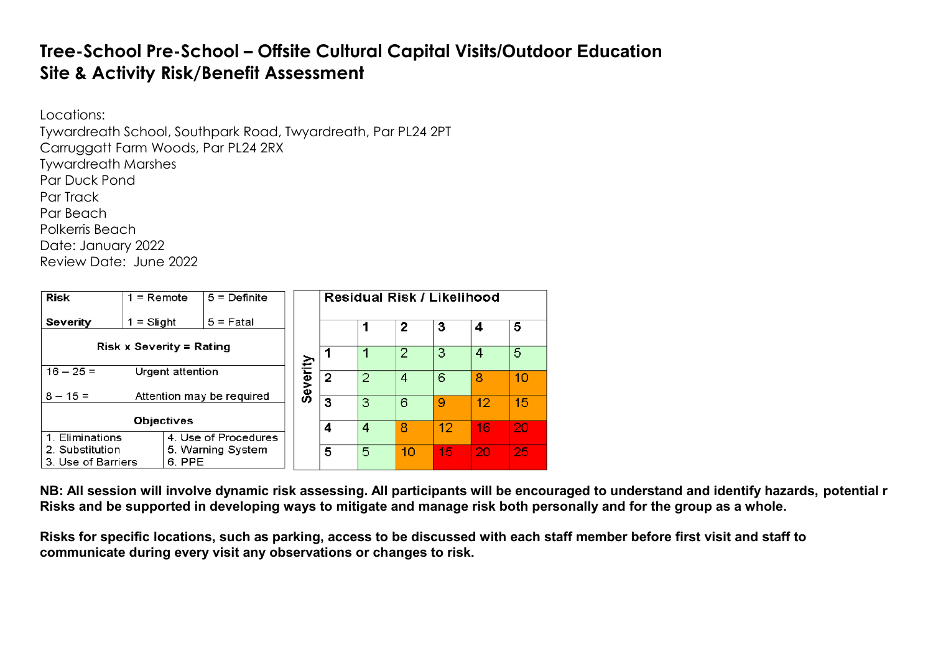# **Tree-School Pre-School – Offsite Cultural Capital Visits/Outdoor Education Site & Activity Risk/Benefit Assessment**

Locations:

Tywardreath School, Southpark Road, Twyardreath, Par PL24 2PT

Carruggatt Farm Woods, Par PL24 2RX

Tywardreath Marshes

Par Duck Pond Par Track

Par Beach

Polkerris Beach

Date: January 2022

Review Date: June 2022

| <b>Risk</b>                          | $1 =$ Remote                    |  | $5 =$ Definite            |          | Residual Risk / Likelihood |                |    |    |    |    |
|--------------------------------------|---------------------------------|--|---------------------------|----------|----------------------------|----------------|----|----|----|----|
| Severity                             | $=$ Slight                      |  | $5 =$ Fatal               |          |                            |                | 2  | 3  | 4  | 5  |
|                                      | <b>Risk x Severity = Rating</b> |  |                           |          |                            |                |    |    |    |    |
|                                      |                                 |  |                           |          |                            | $\overline{2}$ | 3  | 4  | 5  |    |
| $16 - 25 =$                          | Urgent attention                |  |                           |          |                            |                |    |    |    |    |
|                                      |                                 |  |                           | Severity | $\overline{2}$             | $\overline{2}$ | 4  | 6  | 8  | 10 |
| $8 - 15 =$                           |                                 |  | Attention may be required |          |                            |                |    |    |    |    |
|                                      |                                 |  |                           |          | 3                          | 3              | 6  | 9  | 12 | 15 |
|                                      | <b>Objectives</b>               |  |                           |          |                            |                |    |    |    |    |
|                                      |                                 |  |                           |          | 4                          | 4              | 8  | 12 | 16 | 20 |
| 1. Eliminations                      |                                 |  | 4. Use of Procedures      |          |                            |                |    |    |    |    |
| 2. Substitution<br>5. Warning System |                                 |  |                           |          | 5                          | 5              | 10 | 15 | 20 | 25 |
| 3. Use of Barriers                   |                                 |  |                           |          |                            |                |    |    |    |    |

**NB: All session will involve dynamic risk assessing. All participants will be encouraged to understand and identify hazards, potential r Risks and be supported in developing ways to mitigate and manage risk both personally and for the group as a whole.**

**Risks for specific locations, such as parking, access to be discussed with each staff member before first visit and staff to communicate during every visit any observations or changes to risk.**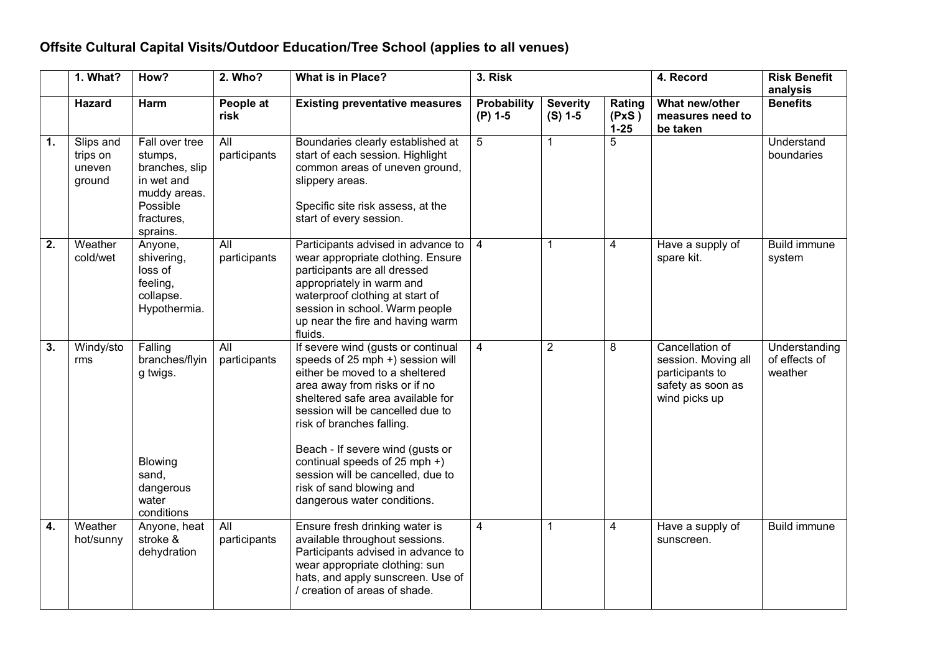## **Offsite Cultural Capital Visits/Outdoor Education/Tree School (applies to all venues)**

|    | 1. What?                                  | How?                                                                                                            | 2. Who?                          | <b>What is in Place?</b>                                                                                                                                                                                                                                                                                                                                                                                             | 3. Risk                         |                              | 4. Record                   |                                                                                                 | <b>Risk Benefit</b><br>analysis           |
|----|-------------------------------------------|-----------------------------------------------------------------------------------------------------------------|----------------------------------|----------------------------------------------------------------------------------------------------------------------------------------------------------------------------------------------------------------------------------------------------------------------------------------------------------------------------------------------------------------------------------------------------------------------|---------------------------------|------------------------------|-----------------------------|-------------------------------------------------------------------------------------------------|-------------------------------------------|
|    | <b>Hazard</b>                             | <b>Harm</b>                                                                                                     | People at<br>risk                | <b>Existing preventative measures</b>                                                                                                                                                                                                                                                                                                                                                                                | <b>Probability</b><br>$(P)$ 1-5 | <b>Severity</b><br>$(S)$ 1-5 | Rating<br>(PxS)<br>$1 - 25$ | What new/other<br>measures need to<br>be taken                                                  | <b>Benefits</b>                           |
| 1. | Slips and<br>trips on<br>uneven<br>ground | Fall over tree<br>stumps,<br>branches, slip<br>in wet and<br>muddy areas.<br>Possible<br>fractures,<br>sprains. | All<br>participants              | Boundaries clearly established at<br>start of each session. Highlight<br>common areas of uneven ground,<br>slippery areas.<br>Specific site risk assess, at the<br>start of every session.                                                                                                                                                                                                                           | 5                               | $\mathbf{1}$                 | 5                           |                                                                                                 | Understand<br>boundaries                  |
| 2. | Weather<br>cold/wet                       | Anyone,<br>shivering,<br>loss of<br>feeling,<br>collapse.<br>Hypothermia.                                       | All<br>participants              | Participants advised in advance to<br>wear appropriate clothing. Ensure<br>participants are all dressed<br>appropriately in warm and<br>waterproof clothing at start of<br>session in school. Warm people<br>up near the fire and having warm<br>fluids.                                                                                                                                                             | $\overline{4}$                  | $\mathbf{1}$                 | 4                           | Have a supply of<br>spare kit.                                                                  | <b>Build immune</b><br>system             |
| 3. | Windy/sto<br>rms                          | Falling<br>branches/flyin<br>g twigs.<br>Blowing<br>sand,<br>dangerous<br>water<br>conditions                   | All<br>participants              | If severe wind (gusts or continual<br>speeds of 25 mph +) session will<br>either be moved to a sheltered<br>area away from risks or if no<br>sheltered safe area available for<br>session will be cancelled due to<br>risk of branches falling.<br>Beach - If severe wind (gusts or<br>continual speeds of 25 mph +)<br>session will be cancelled, due to<br>risk of sand blowing and<br>dangerous water conditions. | $\overline{4}$                  | $\overline{2}$               | 8                           | Cancellation of<br>session. Moving all<br>participants to<br>safety as soon as<br>wind picks up | Understanding<br>of effects of<br>weather |
| 4. | Weather<br>hot/sunny                      | Anyone, heat<br>stroke &<br>dehydration                                                                         | $\overline{All}$<br>participants | Ensure fresh drinking water is<br>available throughout sessions.<br>Participants advised in advance to<br>wear appropriate clothing: sun<br>hats, and apply sunscreen. Use of<br>/ creation of areas of shade.                                                                                                                                                                                                       | $\overline{4}$                  | $\mathbf{1}$                 | 4                           | Have a supply of<br>sunscreen.                                                                  | <b>Build immune</b>                       |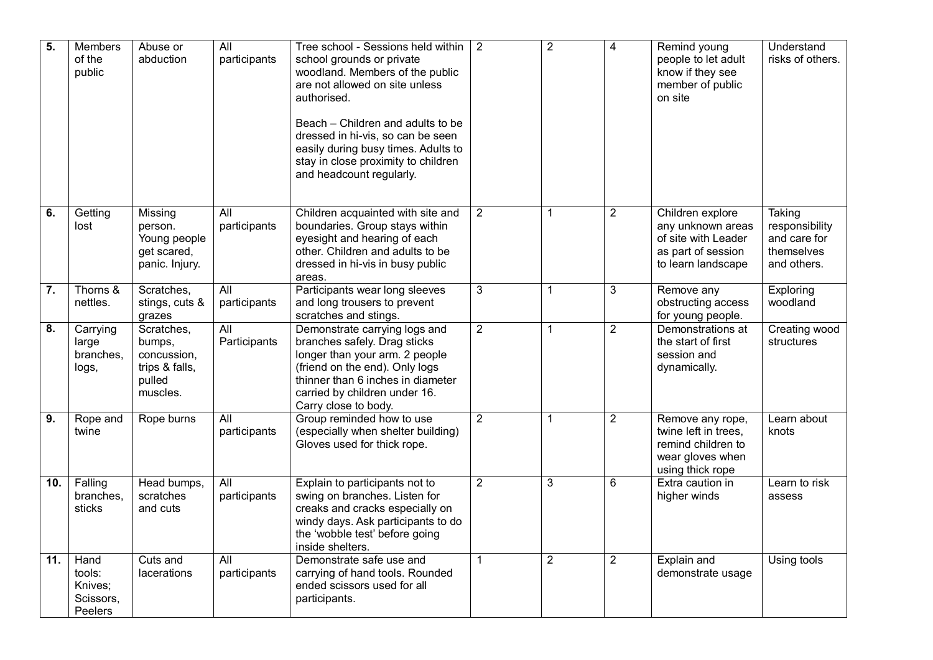| 5.  | Members<br>of the<br>public                       | Abuse or<br>abduction                                                       | $\overline{All}$<br>participants | Tree school - Sessions held within<br>school grounds or private<br>woodland. Members of the public<br>are not allowed on site unless<br>authorised.<br>Beach - Children and adults to be<br>dressed in hi-vis, so can be seen<br>easily during busy times. Adults to<br>stay in close proximity to children<br>and headcount regularly. | $\overline{2}$ | $\overline{2}$ | $\overline{4}$ | Remind young<br>people to let adult<br>know if they see<br>member of public<br>on site                   | Understand<br>risks of others.                                               |
|-----|---------------------------------------------------|-----------------------------------------------------------------------------|----------------------------------|-----------------------------------------------------------------------------------------------------------------------------------------------------------------------------------------------------------------------------------------------------------------------------------------------------------------------------------------|----------------|----------------|----------------|----------------------------------------------------------------------------------------------------------|------------------------------------------------------------------------------|
| 6.  | Getting<br>lost                                   | Missing<br>person.<br>Young people<br>get scared,<br>panic. Injury.         | All<br>participants              | Children acquainted with site and<br>boundaries. Group stays within<br>eyesight and hearing of each<br>other. Children and adults to be<br>dressed in hi-vis in busy public<br>areas.                                                                                                                                                   | $\overline{2}$ | $\mathbf{1}$   | $\overline{2}$ | Children explore<br>any unknown areas<br>of site with Leader<br>as part of session<br>to learn landscape | <b>Taking</b><br>responsibility<br>and care for<br>themselves<br>and others. |
| 7.  | Thorns &<br>nettles.                              | Scratches,<br>stings, cuts &<br>grazes                                      | All<br>participants              | Participants wear long sleeves<br>and long trousers to prevent<br>scratches and stings.                                                                                                                                                                                                                                                 | $\mathbf{3}$   | $\mathbf{1}$   | 3              | Remove any<br>obstructing access<br>for young people.                                                    | Exploring<br>woodland                                                        |
| 8.  | Carrying<br>large<br>branches,<br>logs,           | Scratches,<br>bumps,<br>concussion,<br>trips & falls,<br>pulled<br>muscles. | $\overline{All}$<br>Participants | Demonstrate carrying logs and<br>branches safely. Drag sticks<br>longer than your arm. 2 people<br>(friend on the end). Only logs<br>thinner than 6 inches in diameter<br>carried by children under 16.<br>Carry close to body.                                                                                                         | $\overline{2}$ | $\mathbf{1}$   | $\overline{2}$ | Demonstrations at<br>the start of first<br>session and<br>dynamically.                                   | Creating wood<br>structures                                                  |
| 9.  | Rope and<br>twine                                 | Rope burns                                                                  | All<br>participants              | Group reminded how to use<br>(especially when shelter building)<br>Gloves used for thick rope.                                                                                                                                                                                                                                          | $\overline{2}$ | $\mathbf{1}$   | $\overline{2}$ | Remove any rope,<br>twine left in trees.<br>remind children to<br>wear gloves when<br>using thick rope   | Learn about<br>knots                                                         |
| 10. | Falling<br>branches,<br>sticks                    | Head bumps,<br>scratches<br>and cuts                                        | All<br>participants              | Explain to participants not to<br>swing on branches. Listen for<br>creaks and cracks especially on<br>windy days. Ask participants to do<br>the 'wobble test' before going<br>inside shelters.                                                                                                                                          | $\overline{2}$ | 3              | 6              | Extra caution in<br>higher winds                                                                         | Learn to risk<br>assess                                                      |
| 11. | Hand<br>tools:<br>Knives;<br>Scissors,<br>Peelers | Cuts and<br>lacerations                                                     | All<br>participants              | Demonstrate safe use and<br>carrying of hand tools. Rounded<br>ended scissors used for all<br>participants.                                                                                                                                                                                                                             | $\mathbf{1}$   | $\overline{2}$ | $\overline{2}$ | Explain and<br>demonstrate usage                                                                         | Using tools                                                                  |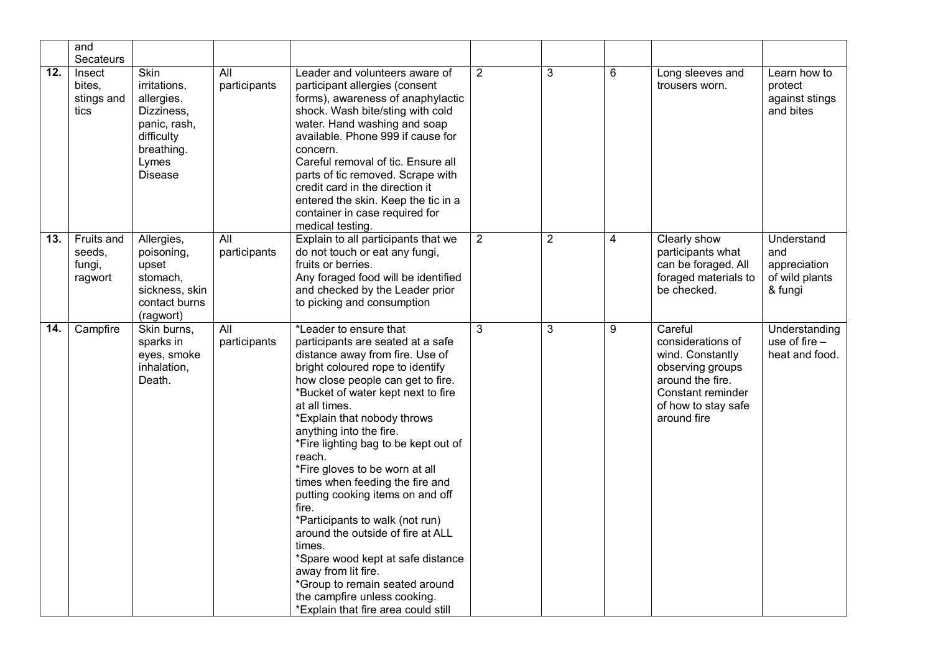|                   | and<br>Secateurs                          |                                                                                                                         |                     |                                                                                                                                                                                                                                                                                                                                                                                                                                                                                                                                                                                                                                                                                                                     |                |                |   |                                                                                                                                                     |                                                                |
|-------------------|-------------------------------------------|-------------------------------------------------------------------------------------------------------------------------|---------------------|---------------------------------------------------------------------------------------------------------------------------------------------------------------------------------------------------------------------------------------------------------------------------------------------------------------------------------------------------------------------------------------------------------------------------------------------------------------------------------------------------------------------------------------------------------------------------------------------------------------------------------------------------------------------------------------------------------------------|----------------|----------------|---|-----------------------------------------------------------------------------------------------------------------------------------------------------|----------------------------------------------------------------|
| $\overline{12}$ . | Insect<br>bites,<br>stings and<br>tics    | Skin<br>irritations,<br>allergies.<br>Dizziness,<br>panic, rash,<br>difficulty<br>breathing.<br>Lymes<br><b>Disease</b> | All<br>participants | Leader and volunteers aware of<br>participant allergies (consent<br>forms), awareness of anaphylactic<br>shock. Wash bite/sting with cold<br>water. Hand washing and soap<br>available. Phone 999 if cause for<br>concern.<br>Careful removal of tic. Ensure all<br>parts of tic removed. Scrape with<br>credit card in the direction it<br>entered the skin. Keep the tic in a<br>container in case required for<br>medical testing.                                                                                                                                                                                                                                                                               | $\overline{2}$ | $\mathbf{3}$   | 6 | Long sleeves and<br>trousers worn.                                                                                                                  | Learn how to<br>protect<br>against stings<br>and bites         |
| 13.               | Fruits and<br>seeds,<br>fungi,<br>ragwort | Allergies,<br>poisoning,<br>upset<br>stomach,<br>sickness, skin<br>contact burns<br>(ragwort)                           | All<br>participants | Explain to all participants that we<br>do not touch or eat any fungi,<br>fruits or berries.<br>Any foraged food will be identified<br>and checked by the Leader prior<br>to picking and consumption                                                                                                                                                                                                                                                                                                                                                                                                                                                                                                                 | $\overline{2}$ | $\overline{2}$ | 4 | Clearly show<br>participants what<br>can be foraged. All<br>foraged materials to<br>be checked.                                                     | Understand<br>and<br>appreciation<br>of wild plants<br>& fungi |
| 14.               | Campfire                                  | Skin burns,<br>sparks in<br>eyes, smoke<br>inhalation,<br>Death.                                                        | All<br>participants | *Leader to ensure that<br>participants are seated at a safe<br>distance away from fire. Use of<br>bright coloured rope to identify<br>how close people can get to fire.<br>*Bucket of water kept next to fire<br>at all times.<br>*Explain that nobody throws<br>anything into the fire.<br>*Fire lighting bag to be kept out of<br>reach.<br>*Fire gloves to be worn at all<br>times when feeding the fire and<br>putting cooking items on and off<br>fire.<br>*Participants to walk (not run)<br>around the outside of fire at ALL<br>times.<br>*Spare wood kept at safe distance<br>away from lit fire.<br>*Group to remain seated around<br>the campfire unless cooking.<br>*Explain that fire area could still | 3              | $\mathbf{3}$   | 9 | Careful<br>considerations of<br>wind. Constantly<br>observing groups<br>around the fire.<br>Constant reminder<br>of how to stay safe<br>around fire | Understanding<br>use of fire -<br>heat and food.               |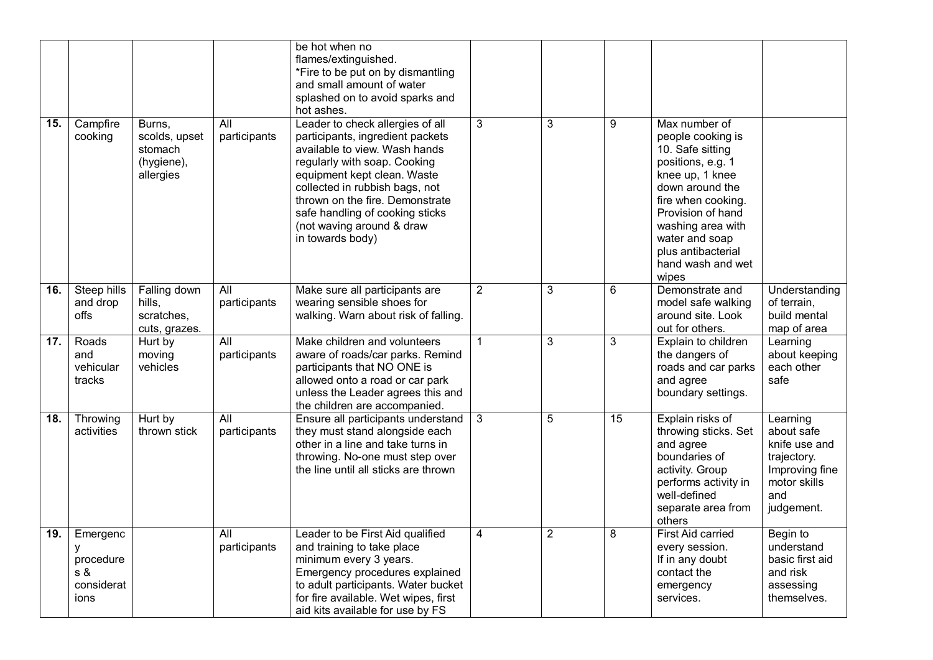|                   |                                                         |                                                               |                                  | be hot when no<br>flames/extinguished.<br>*Fire to be put on by dismantling<br>and small amount of water<br>splashed on to avoid sparks and<br>hot ashes.                                                                                                                                                                     |                |                |                |                                                                                                                                                                                                                                                         |                                                                                                               |
|-------------------|---------------------------------------------------------|---------------------------------------------------------------|----------------------------------|-------------------------------------------------------------------------------------------------------------------------------------------------------------------------------------------------------------------------------------------------------------------------------------------------------------------------------|----------------|----------------|----------------|---------------------------------------------------------------------------------------------------------------------------------------------------------------------------------------------------------------------------------------------------------|---------------------------------------------------------------------------------------------------------------|
| 15.               | Campfire<br>cooking                                     | Burns,<br>scolds, upset<br>stomach<br>(hygiene),<br>allergies | $\overline{All}$<br>participants | Leader to check allergies of all<br>participants, ingredient packets<br>available to view. Wash hands<br>regularly with soap. Cooking<br>equipment kept clean. Waste<br>collected in rubbish bags, not<br>thrown on the fire. Demonstrate<br>safe handling of cooking sticks<br>(not waving around & draw<br>in towards body) | 3              | $\overline{3}$ | 9              | Max number of<br>people cooking is<br>10. Safe sitting<br>positions, e.g. 1<br>knee up, 1 knee<br>down around the<br>fire when cooking.<br>Provision of hand<br>washing area with<br>water and soap<br>plus antibacterial<br>hand wash and wet<br>wipes |                                                                                                               |
| 16.               | <b>Steep hills</b><br>and drop<br>offs                  | Falling down<br>hills,<br>scratches,<br>cuts, grazes.         | $\overline{All}$<br>participants | Make sure all participants are<br>wearing sensible shoes for<br>walking. Warn about risk of falling.                                                                                                                                                                                                                          | $\overline{2}$ | $\mathbf{3}$   | $6\phantom{1}$ | Demonstrate and<br>model safe walking<br>around site. Look<br>out for others.                                                                                                                                                                           | Understanding<br>of terrain,<br>build mental<br>map of area                                                   |
| $\overline{17}$ . | Roads<br>and<br>vehicular<br>tracks                     | Hurt by<br>moving<br>vehicles                                 | $\overline{All}$<br>participants | Make children and volunteers<br>aware of roads/car parks. Remind<br>participants that NO ONE is<br>allowed onto a road or car park<br>unless the Leader agrees this and<br>the children are accompanied.                                                                                                                      | $\mathbf{1}$   | 3              | $\mathbf{3}$   | Explain to children<br>the dangers of<br>roads and car parks<br>and agree<br>boundary settings.                                                                                                                                                         | Learning<br>about keeping<br>each other<br>safe                                                               |
| 18.               | Throwing<br>activities                                  | Hurt by<br>thrown stick                                       | All<br>participants              | Ensure all participants understand<br>they must stand alongside each<br>other in a line and take turns in<br>throwing. No-one must step over<br>the line until all sticks are thrown                                                                                                                                          | 3              | 5              | 15             | Explain risks of<br>throwing sticks. Set<br>and agree<br>boundaries of<br>activity. Group<br>performs activity in<br>well-defined<br>separate area from<br>others                                                                                       | Learning<br>about safe<br>knife use and<br>trajectory.<br>Improving fine<br>motor skills<br>and<br>judgement. |
| 19.               | Emergenc<br>У<br>procedure<br>s &<br>considerat<br>ions |                                                               | All<br>participants              | Leader to be First Aid qualified<br>and training to take place<br>minimum every 3 years.<br>Emergency procedures explained<br>to adult participants. Water bucket<br>for fire available. Wet wipes, first<br>aid kits available for use by FS                                                                                 | 4              | $\overline{2}$ | 8              | <b>First Aid carried</b><br>every session.<br>If in any doubt<br>contact the<br>emergency<br>services.                                                                                                                                                  | Begin to<br>understand<br>basic first aid<br>and risk<br>assessing<br>themselves.                             |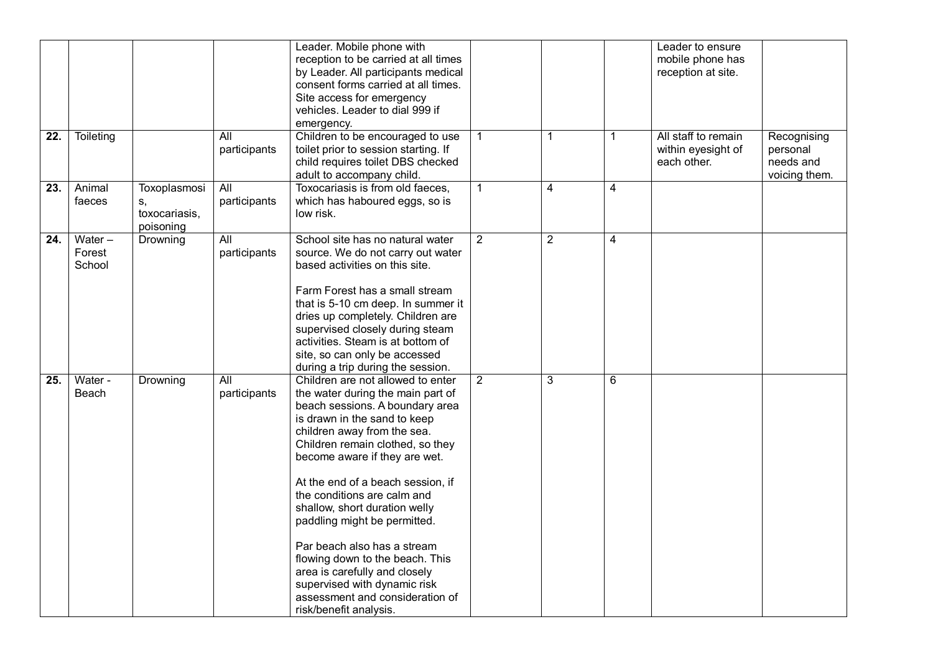|                   |           |               |                  | Leader. Mobile phone with            |                |                |                | Leader to ensure    |               |
|-------------------|-----------|---------------|------------------|--------------------------------------|----------------|----------------|----------------|---------------------|---------------|
|                   |           |               |                  | reception to be carried at all times |                |                |                | mobile phone has    |               |
|                   |           |               |                  | by Leader. All participants medical  |                |                |                | reception at site.  |               |
|                   |           |               |                  | consent forms carried at all times.  |                |                |                |                     |               |
|                   |           |               |                  | Site access for emergency            |                |                |                |                     |               |
|                   |           |               |                  | vehicles. Leader to dial 999 if      |                |                |                |                     |               |
|                   |           |               |                  | emergency.                           |                |                |                |                     |               |
| $\overline{22}$ . | Toileting |               | All              | Children to be encouraged to use     | $\mathbf 1$    | $\mathbf{1}$   | $\mathbf{1}$   | All staff to remain | Recognising   |
|                   |           |               | participants     | toilet prior to session starting. If |                |                |                | within eyesight of  | personal      |
|                   |           |               |                  | child requires toilet DBS checked    |                |                |                | each other.         | needs and     |
|                   |           |               |                  |                                      |                |                |                |                     |               |
|                   |           |               |                  | adult to accompany child.            |                |                |                |                     | voicing them. |
| 23.               | Animal    | Toxoplasmosi  | All              | Toxocariasis is from old faeces,     | $\mathbf{1}$   | 4              | $\overline{4}$ |                     |               |
|                   | faeces    | S,            | participants     | which has haboured eggs, so is       |                |                |                |                     |               |
|                   |           | toxocariasis, |                  | low risk.                            |                |                |                |                     |               |
|                   |           | poisoning     |                  |                                      |                |                |                |                     |               |
| $\overline{24}$ . | Water $-$ | Drowning      | $\overline{All}$ | School site has no natural water     | $\overline{2}$ | $\overline{2}$ | $\overline{4}$ |                     |               |
|                   | Forest    |               | participants     | source. We do not carry out water    |                |                |                |                     |               |
|                   | School    |               |                  | based activities on this site.       |                |                |                |                     |               |
|                   |           |               |                  |                                      |                |                |                |                     |               |
|                   |           |               |                  | Farm Forest has a small stream       |                |                |                |                     |               |
|                   |           |               |                  | that is 5-10 cm deep. In summer it   |                |                |                |                     |               |
|                   |           |               |                  | dries up completely. Children are    |                |                |                |                     |               |
|                   |           |               |                  | supervised closely during steam      |                |                |                |                     |               |
|                   |           |               |                  | activities. Steam is at bottom of    |                |                |                |                     |               |
|                   |           |               |                  | site, so can only be accessed        |                |                |                |                     |               |
|                   |           |               |                  | during a trip during the session.    |                |                |                |                     |               |
| 25.               | Water -   | Drowning      | All              | Children are not allowed to enter    | $\overline{2}$ | 3              | $6\phantom{a}$ |                     |               |
|                   | Beach     |               | participants     | the water during the main part of    |                |                |                |                     |               |
|                   |           |               |                  | beach sessions. A boundary area      |                |                |                |                     |               |
|                   |           |               |                  | is drawn in the sand to keep         |                |                |                |                     |               |
|                   |           |               |                  | children away from the sea.          |                |                |                |                     |               |
|                   |           |               |                  | Children remain clothed, so they     |                |                |                |                     |               |
|                   |           |               |                  | become aware if they are wet.        |                |                |                |                     |               |
|                   |           |               |                  |                                      |                |                |                |                     |               |
|                   |           |               |                  | At the end of a beach session, if    |                |                |                |                     |               |
|                   |           |               |                  | the conditions are calm and          |                |                |                |                     |               |
|                   |           |               |                  | shallow, short duration welly        |                |                |                |                     |               |
|                   |           |               |                  | paddling might be permitted.         |                |                |                |                     |               |
|                   |           |               |                  |                                      |                |                |                |                     |               |
|                   |           |               |                  | Par beach also has a stream          |                |                |                |                     |               |
|                   |           |               |                  | flowing down to the beach. This      |                |                |                |                     |               |
|                   |           |               |                  | area is carefully and closely        |                |                |                |                     |               |
|                   |           |               |                  | supervised with dynamic risk         |                |                |                |                     |               |
|                   |           |               |                  | assessment and consideration of      |                |                |                |                     |               |
|                   |           |               |                  | risk/benefit analysis.               |                |                |                |                     |               |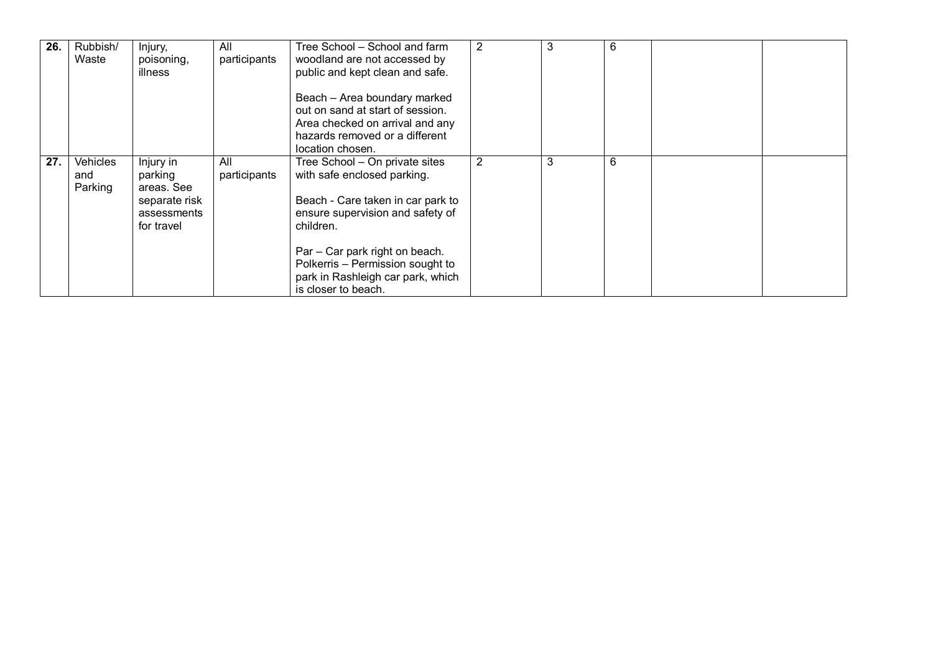| 26. | Rubbish/<br>Waste          | Injury,<br>poisoning,<br>illness                                                 | All<br>participants | Tree School – School and farm<br>woodland are not accessed by<br>public and kept clean and safe.<br>Beach - Area boundary marked<br>out on sand at start of session.<br>Area checked on arrival and any<br>hazards removed or a different<br>location chosen.                         | 2 | 3 | O |  |
|-----|----------------------------|----------------------------------------------------------------------------------|---------------------|---------------------------------------------------------------------------------------------------------------------------------------------------------------------------------------------------------------------------------------------------------------------------------------|---|---|---|--|
| 27. | Vehicles<br>and<br>Parking | Injury in<br>parking<br>areas. See<br>separate risk<br>assessments<br>for travel | All<br>participants | Tree School - On private sites<br>with safe enclosed parking.<br>Beach - Care taken in car park to<br>ensure supervision and safety of<br>children.<br>Par - Car park right on beach.<br>Polkerris - Permission sought to<br>park in Rashleigh car park, which<br>is closer to beach. | 2 | 3 | 6 |  |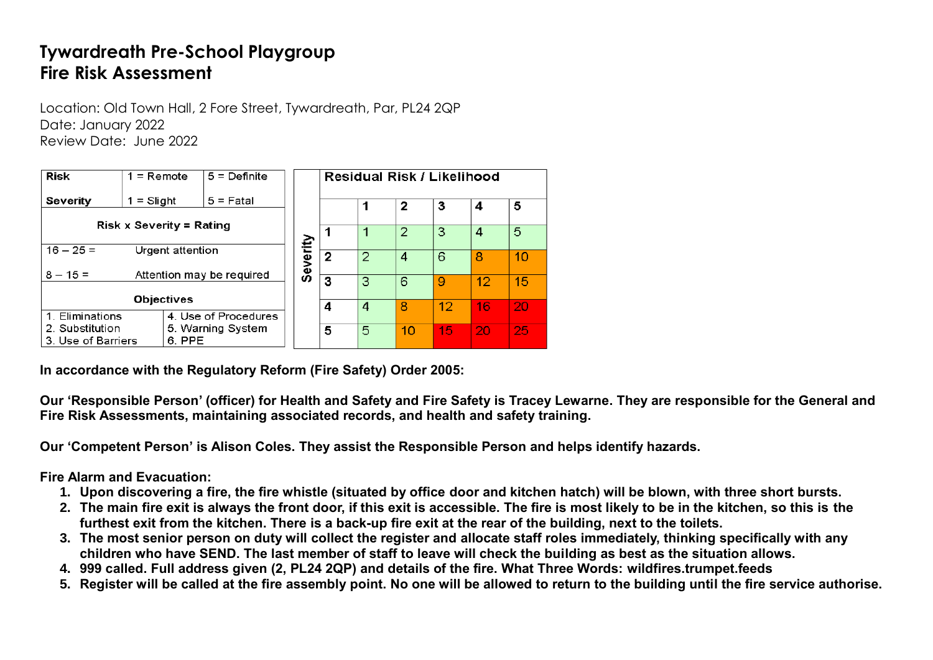# **Tywardreath Pre-School Playgroup Fire Risk Assessment**

Location: Old Town Hall, 2 Fore Street, Tywardreath, Par, PL24 2QP Date: January 2022 Review Date: June 2022

| <b>Risk</b>                          | $1 =$ Remote                    | $5 =$ Definite            | Residual Risk / Likelihood |                |                |    |    |    |    |
|--------------------------------------|---------------------------------|---------------------------|----------------------------|----------------|----------------|----|----|----|----|
| Severity                             | = Slight                        | $5 =$ Fatal               |                            |                |                | 2  | 3  | 4  | 5  |
|                                      | <b>Risk x Severity = Rating</b> |                           |                            |                |                |    |    |    |    |
|                                      |                                 |                           |                            |                |                | 2  | 3  | 4  | 5  |
| $16 - 25 =$                          | Urgent attention                |                           | Severity                   | $\overline{2}$ | $\overline{2}$ | 4  | 6  | 8  | 10 |
| $8 - 15 =$                           |                                 | Attention may be required |                            |                |                |    |    |    |    |
|                                      |                                 |                           |                            | 3              | 3              | 6  | 9  | 12 | 15 |
|                                      | <b>Objectives</b>               |                           |                            |                |                |    | 12 |    |    |
| 1. Eliminations                      |                                 | 4. Use of Procedures      |                            | 4              | 4              | 8  |    | 16 | 20 |
| 2. Substitution<br>5. Warning System |                                 |                           |                            | 5              | 5              | 10 | 15 | 20 | 25 |
| 3. Use of Barriers                   | 6. PPE                          |                           |                            |                |                |    |    |    |    |

**In accordance with the Regulatory Reform (Fire Safety) Order 2005:**

**Our 'Responsible Person' (officer) for Health and Safety and Fire Safety is Tracey Lewarne. They are responsible for the General and Fire Risk Assessments, maintaining associated records, and health and safety training.**

**Our 'Competent Person' is Alison Coles. They assist the Responsible Person and helps identify hazards.**

**Fire Alarm and Evacuation:**

- **1. Upon discovering a fire, the fire whistle (situated by office door and kitchen hatch) will be blown, with three short bursts.**
- **2. The main fire exit is always the front door, if this exit is accessible. The fire is most likely to be in the kitchen, so this is the furthest exit from the kitchen. There is a back-up fire exit at the rear of the building, next to the toilets.**
- **3. The most senior person on duty will collect the register and allocate staff roles immediately, thinking specifically with any children who have SEND. The last member of staff to leave will check the building as best as the situation allows.**
- **4. 999 called. Full address given (2, PL24 2QP) and details of the fire. What Three Words: wildfires.trumpet.feeds**
- **5. Register will be called at the fire assembly point. No one will be allowed to return to the building until the fire service authorise.**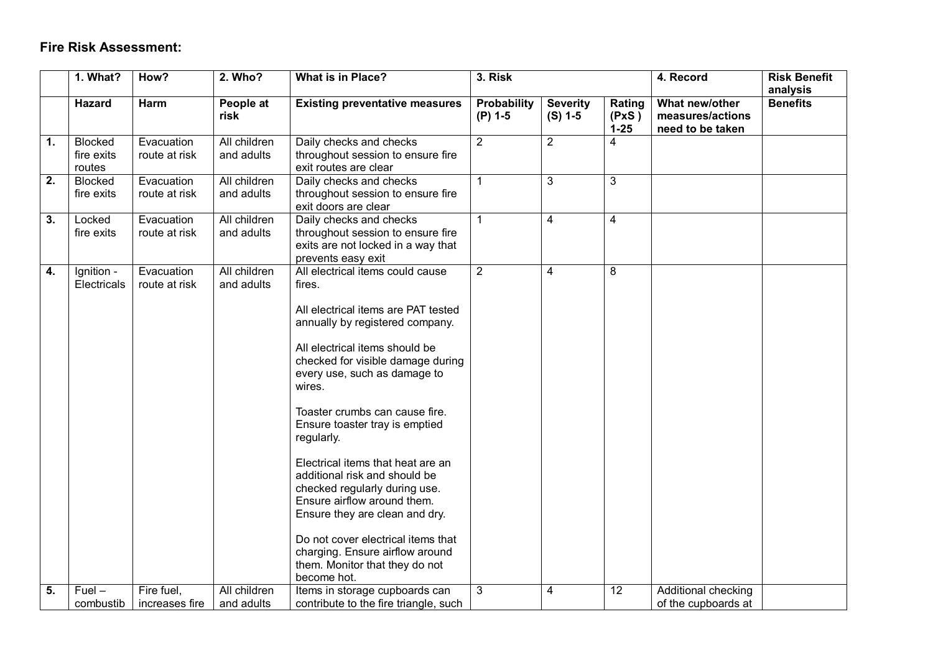#### **Fire Risk Assessment:**

|                  | 1. What?                               | How?                         | 2. Who?                    | What is in Place?                                                                                                                                                                                                                                                                                                                                                                                                                                                                                                                                                                                                         | 3. Risk                         |                              |                             | 4. Record                                              | <b>Risk Benefit</b><br>analysis |
|------------------|----------------------------------------|------------------------------|----------------------------|---------------------------------------------------------------------------------------------------------------------------------------------------------------------------------------------------------------------------------------------------------------------------------------------------------------------------------------------------------------------------------------------------------------------------------------------------------------------------------------------------------------------------------------------------------------------------------------------------------------------------|---------------------------------|------------------------------|-----------------------------|--------------------------------------------------------|---------------------------------|
|                  | <b>Hazard</b>                          | Harm                         | People at<br>risk          | <b>Existing preventative measures</b>                                                                                                                                                                                                                                                                                                                                                                                                                                                                                                                                                                                     | <b>Probability</b><br>$(P)$ 1-5 | <b>Severity</b><br>$(S)$ 1-5 | Rating<br>(PxS)<br>$1 - 25$ | What new/other<br>measures/actions<br>need to be taken | <b>Benefits</b>                 |
| 1.               | <b>Blocked</b><br>fire exits<br>routes | Evacuation<br>route at risk  | All children<br>and adults | Daily checks and checks<br>throughout session to ensure fire<br>exit routes are clear                                                                                                                                                                                                                                                                                                                                                                                                                                                                                                                                     | $\overline{2}$                  | $\overline{2}$               | 4                           |                                                        |                                 |
| $\overline{2}$ . | <b>Blocked</b><br>fire exits           | Evacuation<br>route at risk  | All children<br>and adults | Daily checks and checks<br>throughout session to ensure fire<br>exit doors are clear                                                                                                                                                                                                                                                                                                                                                                                                                                                                                                                                      | $\mathbf{1}$                    | 3                            | 3                           |                                                        |                                 |
| $\overline{3}$ . | Locked<br>fire exits                   | Evacuation<br>route at risk  | All children<br>and adults | Daily checks and checks<br>throughout session to ensure fire<br>exits are not locked in a way that<br>prevents easy exit                                                                                                                                                                                                                                                                                                                                                                                                                                                                                                  | 1                               | $\overline{4}$               | $\overline{4}$              |                                                        |                                 |
| 4.               | Ignition -<br><b>Electricals</b>       | Evacuation<br>route at risk  | All children<br>and adults | All electrical items could cause<br>fires.<br>All electrical items are PAT tested<br>annually by registered company.<br>All electrical items should be<br>checked for visible damage during<br>every use, such as damage to<br>wires.<br>Toaster crumbs can cause fire.<br>Ensure toaster tray is emptied<br>regularly.<br>Electrical items that heat are an<br>additional risk and should be<br>checked regularly during use.<br>Ensure airflow around them.<br>Ensure they are clean and dry.<br>Do not cover electrical items that<br>charging. Ensure airflow around<br>them. Monitor that they do not<br>become hot. | $\overline{2}$                  | $\overline{4}$               | 8                           |                                                        |                                 |
| 5.               | $Fuel -$<br>combustib                  | Fire fuel,<br>increases fire | All children<br>and adults | Items in storage cupboards can<br>contribute to the fire triangle, such                                                                                                                                                                                                                                                                                                                                                                                                                                                                                                                                                   | 3                               | 4                            | 12                          | Additional checking<br>of the cupboards at             |                                 |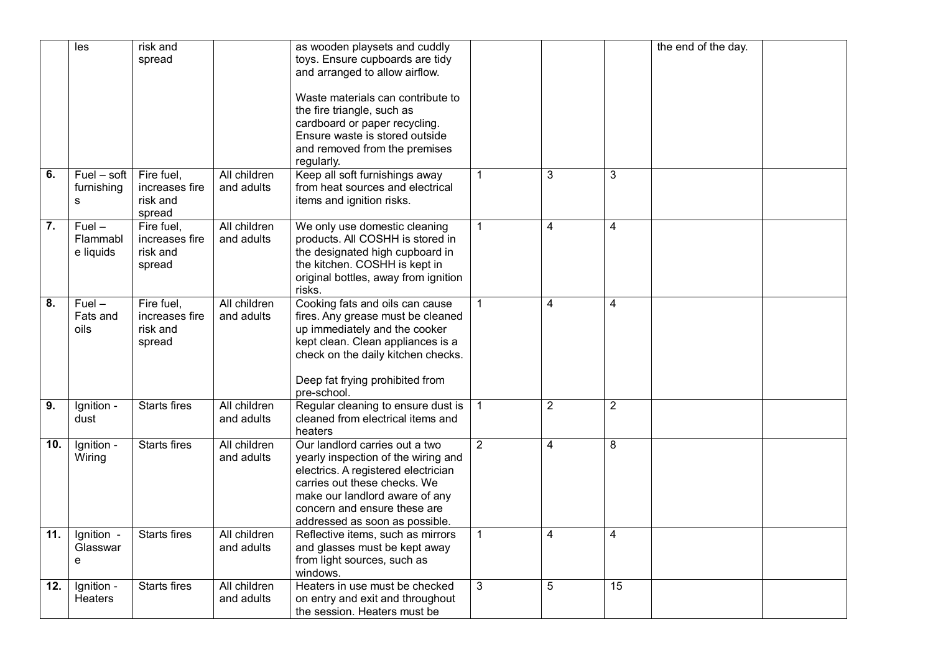|                  | les                      | risk and            |              | as wooden playsets and cuddly        |                |                |                | the end of the day. |  |
|------------------|--------------------------|---------------------|--------------|--------------------------------------|----------------|----------------|----------------|---------------------|--|
|                  |                          | spread              |              | toys. Ensure cupboards are tidy      |                |                |                |                     |  |
|                  |                          |                     |              | and arranged to allow airflow.       |                |                |                |                     |  |
|                  |                          |                     |              |                                      |                |                |                |                     |  |
|                  |                          |                     |              | Waste materials can contribute to    |                |                |                |                     |  |
|                  |                          |                     |              | the fire triangle, such as           |                |                |                |                     |  |
|                  |                          |                     |              | cardboard or paper recycling.        |                |                |                |                     |  |
|                  |                          |                     |              | Ensure waste is stored outside       |                |                |                |                     |  |
|                  |                          |                     |              | and removed from the premises        |                |                |                |                     |  |
|                  |                          |                     |              | regularly.                           |                |                |                |                     |  |
| 6.               | $Fuel - soft$            | Fire fuel,          | All children | Keep all soft furnishings away       | $\mathbf{1}$   | 3              | 3              |                     |  |
|                  | furnishing               | increases fire      | and adults   | from heat sources and electrical     |                |                |                |                     |  |
|                  | s                        | risk and            |              | items and ignition risks.            |                |                |                |                     |  |
|                  |                          | spread              |              |                                      |                |                |                |                     |  |
| $\overline{7}$ . | $Fuel -$                 | Fire fuel,          | All children | We only use domestic cleaning        | $\mathbf{1}$   | 4              | 4              |                     |  |
|                  | Flammabl                 | increases fire      | and adults   | products. All COSHH is stored in     |                |                |                |                     |  |
|                  | e liquids                | risk and            |              | the designated high cupboard in      |                |                |                |                     |  |
|                  |                          | spread              |              | the kitchen. COSHH is kept in        |                |                |                |                     |  |
|                  |                          |                     |              | original bottles, away from ignition |                |                |                |                     |  |
|                  |                          |                     |              | risks.                               |                |                |                |                     |  |
| 8.               | $Fuel -$                 | Fire fuel,          | All children | Cooking fats and oils can cause      | $\mathbf{1}$   | 4              | 4              |                     |  |
|                  | Fats and                 | increases fire      | and adults   | fires. Any grease must be cleaned    |                |                |                |                     |  |
|                  | oils                     | risk and            |              | up immediately and the cooker        |                |                |                |                     |  |
|                  |                          | spread              |              | kept clean. Clean appliances is a    |                |                |                |                     |  |
|                  |                          |                     |              | check on the daily kitchen checks.   |                |                |                |                     |  |
|                  |                          |                     |              |                                      |                |                |                |                     |  |
|                  |                          |                     |              | Deep fat frying prohibited from      |                |                |                |                     |  |
|                  |                          |                     |              | pre-school.                          |                |                |                |                     |  |
| $\overline{9}$ . | Ignition -               | <b>Starts fires</b> | All children | Regular cleaning to ensure dust is   | $\mathbf{1}$   | $\overline{2}$ | $\overline{2}$ |                     |  |
|                  | dust                     |                     | and adults   | cleaned from electrical items and    |                |                |                |                     |  |
|                  |                          |                     |              | heaters                              |                |                |                |                     |  |
| 10.              | Ignition -               | Starts fires        | All children | Our landlord carries out a two       | $\overline{2}$ | $\overline{4}$ | 8              |                     |  |
|                  | Wiring                   |                     | and adults   | yearly inspection of the wiring and  |                |                |                |                     |  |
|                  |                          |                     |              | electrics. A registered electrician  |                |                |                |                     |  |
|                  |                          |                     |              | carries out these checks. We         |                |                |                |                     |  |
|                  |                          |                     |              |                                      |                |                |                |                     |  |
|                  |                          |                     |              | make our landlord aware of any       |                |                |                |                     |  |
|                  |                          |                     |              | concern and ensure these are         |                |                |                |                     |  |
|                  |                          |                     |              | addressed as soon as possible.       |                |                |                |                     |  |
| 11.              | Ignition -               | <b>Starts fires</b> | All children | Reflective items, such as mirrors    | $\mathbf{1}$   | 4              | 4              |                     |  |
|                  | Glasswar                 |                     | and adults   | and glasses must be kept away        |                |                |                |                     |  |
|                  | e                        |                     |              | from light sources, such as          |                |                |                |                     |  |
|                  |                          |                     |              | windows.                             |                |                |                |                     |  |
| 12.              | $\overline{I}$ gnition - | <b>Starts fires</b> | All children | Heaters in use must be checked       | 3              | 5              | 15             |                     |  |
|                  | Heaters                  |                     | and adults   | on entry and exit and throughout     |                |                |                |                     |  |
|                  |                          |                     |              | the session. Heaters must be         |                |                |                |                     |  |